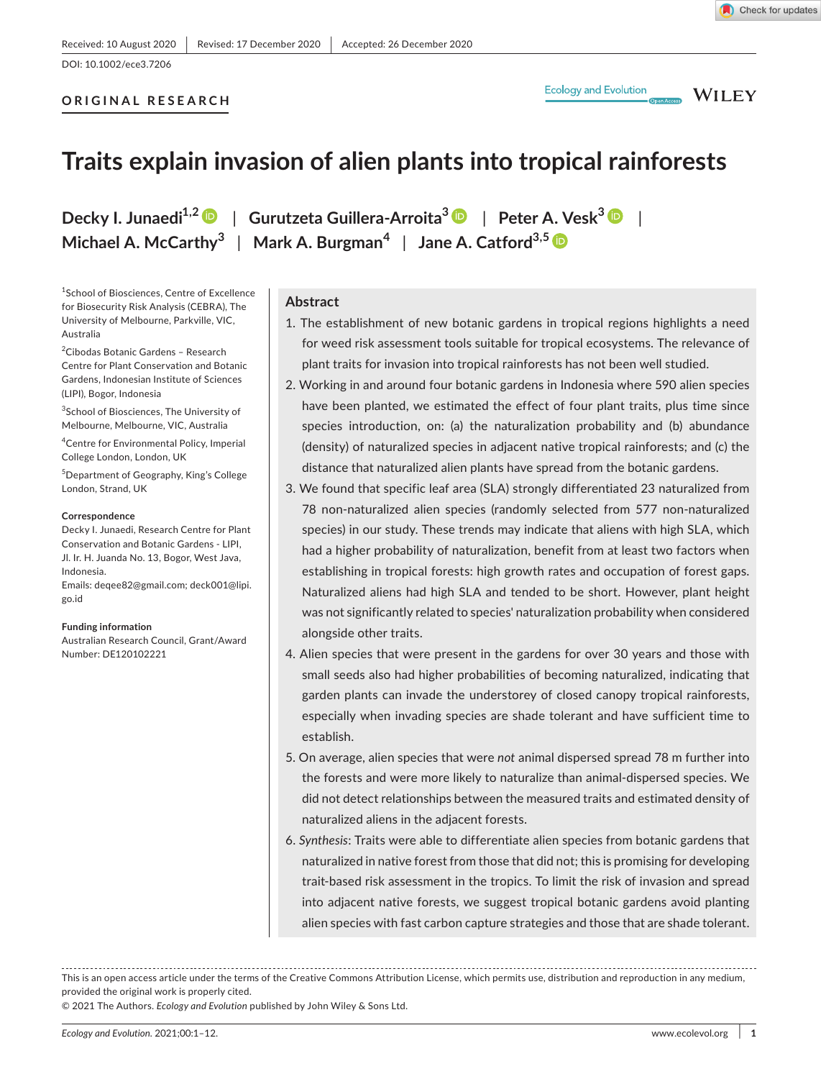DOI: 10.1002/ece3.7206

## **ORIGINAL RESEARCH**

**WILEY** 

# **Traits explain invasion of alien plants into tropical rainforests**

**Decky I. Junaedi1,[2](https://orcid.org/0000-0001-5846-6135)** | **Gurutzeta Guillera-Arroita<sup>3</sup>** | **Peter A. Vesk<sup>3</sup>** | **Michael A. McCarthy<sup>3</sup>** | **Mark A. Burgman<sup>4</sup>** | **Jane A. Catford3,5**

1 School of Biosciences, Centre of Excellence for Biosecurity Risk Analysis (CEBRA), The University of Melbourne, Parkville, VIC, Australia

2 Cibodas Botanic Gardens – Research Centre for Plant Conservation and Botanic Gardens, Indonesian Institute of Sciences (LIPI), Bogor, Indonesia

<sup>3</sup>School of Biosciences, The University of Melbourne, Melbourne, VIC, Australia

4 Centre for Environmental Policy, Imperial College London, London, UK

5 Department of Geography, King's College London, Strand, UK

#### **Correspondence**

Decky I. Junaedi, Research Centre for Plant Conservation and Botanic Gardens - LIPI, Jl. Ir. H. Juanda No. 13, Bogor, West Java, Indonesia.

Emails: [deqee82@gmail.com](mailto:deqee82@gmail.com); [deck001@lipi.](mailto:deck001@lipi.go.id) [go.id](mailto:deck001@lipi.go.id)

#### **Funding information**

Australian Research Council, Grant/Award Number: DE120102221

**Abstract**

- 1. The establishment of new botanic gardens in tropical regions highlights a need for weed risk assessment tools suitable for tropical ecosystems. The relevance of plant traits for invasion into tropical rainforests has not been well studied.
- 2. Working in and around four botanic gardens in Indonesia where 590 alien species have been planted, we estimated the effect of four plant traits, plus time since species introduction, on: (a) the naturalization probability and (b) abundance (density) of naturalized species in adjacent native tropical rainforests; and (c) the distance that naturalized alien plants have spread from the botanic gardens.
- 3. We found that specific leaf area (SLA) strongly differentiated 23 naturalized from 78 non-naturalized alien species (randomly selected from 577 non-naturalized species) in our study. These trends may indicate that aliens with high SLA, which had a higher probability of naturalization, benefit from at least two factors when establishing in tropical forests: high growth rates and occupation of forest gaps. Naturalized aliens had high SLA and tended to be short. However, plant height was not significantly related to species' naturalization probability when considered alongside other traits.
- 4. Alien species that were present in the gardens for over 30 years and those with small seeds also had higher probabilities of becoming naturalized, indicating that garden plants can invade the understorey of closed canopy tropical rainforests, especially when invading species are shade tolerant and have sufficient time to establish.
- 5. On average, alien species that were *not* animal dispersed spread 78 m further into the forests and were more likely to naturalize than animal-dispersed species. We did not detect relationships between the measured traits and estimated density of naturalized aliens in the adjacent forests.
- 6. *Synthesis*: Traits were able to differentiate alien species from botanic gardens that naturalized in native forest from those that did not; this is promising for developing trait-based risk assessment in the tropics. To limit the risk of invasion and spread into adjacent native forests, we suggest tropical botanic gardens avoid planting alien species with fast carbon capture strategies and those that are shade tolerant.

This is an open access article under the terms of the [Creative Commons Attribution](http://creativecommons.org/licenses/by/4.0/) License, which permits use, distribution and reproduction in any medium, provided the original work is properly cited.

© 2021 The Authors. *Ecology and Evolution* published by John Wiley & Sons Ltd.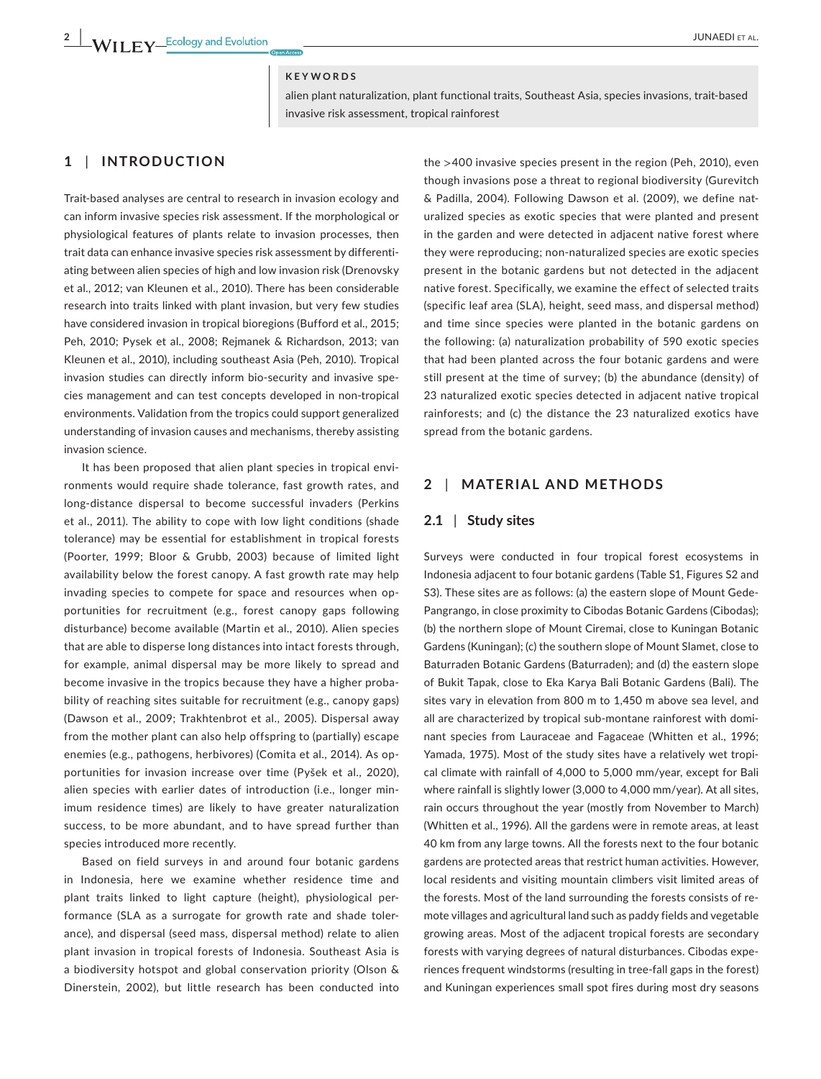## **KEYWORDS**

alien plant naturalization, plant functional traits, Southeast Asia, species invasions, trait-based invasive risk assessment, tropical rainforest

# **1** | **INTRODUCTION**

Trait-based analyses are central to research in invasion ecology and can inform invasive species risk assessment. If the morphological or physiological features of plants relate to invasion processes, then trait data can enhance invasive species risk assessment by differentiating between alien species of high and low invasion risk (Drenovsky et al., 2012; van Kleunen et al., 2010). There has been considerable research into traits linked with plant invasion, but very few studies have considered invasion in tropical bioregions (Bufford et al., 2015; Peh, 2010; Pysek et al., 2008; Rejmanek & Richardson, 2013; van Kleunen et al., 2010), including southeast Asia (Peh, 2010). Tropical invasion studies can directly inform bio-security and invasive species management and can test concepts developed in non-tropical environments. Validation from the tropics could support generalized understanding of invasion causes and mechanisms, thereby assisting invasion science.

It has been proposed that alien plant species in tropical environments would require shade tolerance, fast growth rates, and long-distance dispersal to become successful invaders (Perkins et al., 2011). The ability to cope with low light conditions (shade tolerance) may be essential for establishment in tropical forests (Poorter, 1999; Bloor & Grubb, 2003) because of limited light availability below the forest canopy. A fast growth rate may help invading species to compete for space and resources when opportunities for recruitment (e.g., forest canopy gaps following disturbance) become available (Martin et al., 2010). Alien species that are able to disperse long distances into intact forests through, for example, animal dispersal may be more likely to spread and become invasive in the tropics because they have a higher probability of reaching sites suitable for recruitment (e.g., canopy gaps) (Dawson et al., 2009; Trakhtenbrot et al., 2005). Dispersal away from the mother plant can also help offspring to (partially) escape enemies (e.g., pathogens, herbivores) (Comita et al., 2014). As opportunities for invasion increase over time (Pyšek et al., 2020), alien species with earlier dates of introduction (i.e., longer minimum residence times) are likely to have greater naturalization success, to be more abundant, and to have spread further than species introduced more recently.

Based on field surveys in and around four botanic gardens in Indonesia, here we examine whether residence time and plant traits linked to light capture (height), physiological performance (SLA as a surrogate for growth rate and shade tolerance), and dispersal (seed mass, dispersal method) relate to alien plant invasion in tropical forests of Indonesia. Southeast Asia is a biodiversity hotspot and global conservation priority (Olson & Dinerstein, 2002), but little research has been conducted into

the >400 invasive species present in the region (Peh, 2010), even though invasions pose a threat to regional biodiversity (Gurevitch & Padilla, 2004). Following Dawson et al. (2009), we define naturalized species as exotic species that were planted and present in the garden and were detected in adjacent native forest where they were reproducing; non-naturalized species are exotic species present in the botanic gardens but not detected in the adjacent native forest. Specifically, we examine the effect of selected traits (specific leaf area (SLA), height, seed mass, and dispersal method) and time since species were planted in the botanic gardens on the following: (a) naturalization probability of 590 exotic species that had been planted across the four botanic gardens and were still present at the time of survey; (b) the abundance (density) of 23 naturalized exotic species detected in adjacent native tropical rainforests; and (c) the distance the 23 naturalized exotics have spread from the botanic gardens.

# **2** | **MATERIAL AND METHODS**

## **2.1** | **Study sites**

Surveys were conducted in four tropical forest ecosystems in Indonesia adjacent to four botanic gardens (Table S1, Figures S2 and S3). These sites are as follows: (a) the eastern slope of Mount Gede-Pangrango, in close proximity to Cibodas Botanic Gardens (Cibodas); (b) the northern slope of Mount Ciremai, close to Kuningan Botanic Gardens (Kuningan); (c) the southern slope of Mount Slamet, close to Baturraden Botanic Gardens (Baturraden); and (d) the eastern slope of Bukit Tapak, close to Eka Karya Bali Botanic Gardens (Bali). The sites vary in elevation from 800 m to 1,450 m above sea level, and all are characterized by tropical sub-montane rainforest with dominant species from Lauraceae and Fagaceae (Whitten et al., 1996; Yamada, 1975). Most of the study sites have a relatively wet tropical climate with rainfall of 4,000 to 5,000 mm/year, except for Bali where rainfall is slightly lower (3,000 to 4,000 mm/year). At all sites, rain occurs throughout the year (mostly from November to March) (Whitten et al., 1996). All the gardens were in remote areas, at least 40 km from any large towns. All the forests next to the four botanic gardens are protected areas that restrict human activities. However, local residents and visiting mountain climbers visit limited areas of the forests. Most of the land surrounding the forests consists of remote villages and agricultural land such as paddy fields and vegetable growing areas. Most of the adjacent tropical forests are secondary forests with varying degrees of natural disturbances. Cibodas experiences frequent windstorms (resulting in tree-fall gaps in the forest) and Kuningan experiences small spot fires during most dry seasons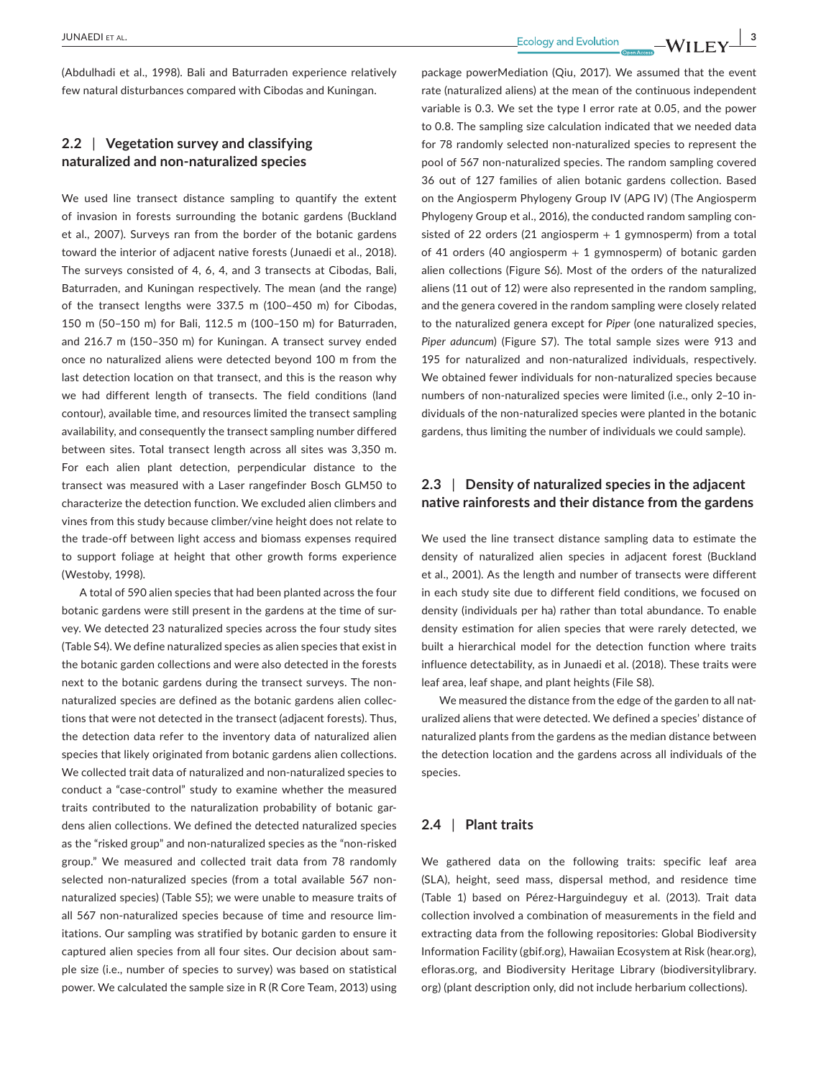(Abdulhadi et al., 1998). Bali and Baturraden experience relatively few natural disturbances compared with Cibodas and Kuningan.

# **2.2** | **Vegetation survey and classifying naturalized and non-naturalized species**

We used line transect distance sampling to quantify the extent of invasion in forests surrounding the botanic gardens (Buckland et al., 2007). Surveys ran from the border of the botanic gardens toward the interior of adjacent native forests (Junaedi et al., 2018). The surveys consisted of 4, 6, 4, and 3 transects at Cibodas, Bali, Baturraden, and Kuningan respectively. The mean (and the range) of the transect lengths were 337.5 m (100–450 m) for Cibodas, 150 m (50–150 m) for Bali, 112.5 m (100–150 m) for Baturraden, and 216.7 m (150–350 m) for Kuningan. A transect survey ended once no naturalized aliens were detected beyond 100 m from the last detection location on that transect, and this is the reason why we had different length of transects. The field conditions (land contour), available time, and resources limited the transect sampling availability, and consequently the transect sampling number differed between sites. Total transect length across all sites was 3,350 m. For each alien plant detection, perpendicular distance to the transect was measured with a Laser rangefinder Bosch GLM50 to characterize the detection function. We excluded alien climbers and vines from this study because climber/vine height does not relate to the trade-off between light access and biomass expenses required to support foliage at height that other growth forms experience (Westoby, 1998).

A total of 590 alien species that had been planted across the four botanic gardens were still present in the gardens at the time of survey. We detected 23 naturalized species across the four study sites (Table S4). We define naturalized species as alien species that exist in the botanic garden collections and were also detected in the forests next to the botanic gardens during the transect surveys. The nonnaturalized species are defined as the botanic gardens alien collections that were not detected in the transect (adjacent forests). Thus, the detection data refer to the inventory data of naturalized alien species that likely originated from botanic gardens alien collections. We collected trait data of naturalized and non-naturalized species to conduct a "case-control" study to examine whether the measured traits contributed to the naturalization probability of botanic gardens alien collections. We defined the detected naturalized species as the "risked group" and non-naturalized species as the "non-risked group." We measured and collected trait data from 78 randomly selected non-naturalized species (from a total available 567 nonnaturalized species) (Table S5); we were unable to measure traits of all 567 non-naturalized species because of time and resource limitations. Our sampling was stratified by botanic garden to ensure it captured alien species from all four sites. Our decision about sample size (i.e., number of species to survey) was based on statistical power. We calculated the sample size in R (R Core Team, 2013) using

package powerMediation (Qiu, 2017). We assumed that the event rate (naturalized aliens) at the mean of the continuous independent variable is 0.3. We set the type I error rate at 0.05, and the power to 0.8. The sampling size calculation indicated that we needed data for 78 randomly selected non-naturalized species to represent the pool of 567 non-naturalized species. The random sampling covered 36 out of 127 families of alien botanic gardens collection. Based on the Angiosperm Phylogeny Group IV (APG IV) (The Angiosperm Phylogeny Group et al., 2016), the conducted random sampling consisted of 22 orders (21 angiosperm  $+ 1$  gymnosperm) from a total of 41 orders (40 angiosperm  $+1$  gymnosperm) of botanic garden alien collections (Figure S6). Most of the orders of the naturalized aliens (11 out of 12) were also represented in the random sampling, and the genera covered in the random sampling were closely related to the naturalized genera except for *Piper* (one naturalized species, *Piper aduncum*) (Figure S7). The total sample sizes were 913 and 195 for naturalized and non-naturalized individuals, respectively. We obtained fewer individuals for non-naturalized species because numbers of non-naturalized species were limited (i.e., only 2–10 individuals of the non-naturalized species were planted in the botanic gardens, thus limiting the number of individuals we could sample).

# **2.3** | **Density of naturalized species in the adjacent native rainforests and their distance from the gardens**

We used the line transect distance sampling data to estimate the density of naturalized alien species in adjacent forest (Buckland et al., 2001). As the length and number of transects were different in each study site due to different field conditions, we focused on density (individuals per ha) rather than total abundance. To enable density estimation for alien species that were rarely detected, we built a hierarchical model for the detection function where traits influence detectability, as in Junaedi et al. (2018). These traits were leaf area, leaf shape, and plant heights (File S8).

We measured the distance from the edge of the garden to all naturalized aliens that were detected. We defined a species' distance of naturalized plants from the gardens as the median distance between the detection location and the gardens across all individuals of the species.

## **2.4** | **Plant traits**

We gathered data on the following traits: specific leaf area (SLA), height, seed mass, dispersal method, and residence time (Table 1) based on Pérez-Harguindeguy et al. (2013). Trait data collection involved a combination of measurements in the field and extracting data from the following repositories: Global Biodiversity Information Facility (gbif.org), Hawaiian Ecosystem at Risk (hear.org), efloras.org, and Biodiversity Heritage Library (biodiversitylibrary. org) (plant description only, did not include herbarium collections).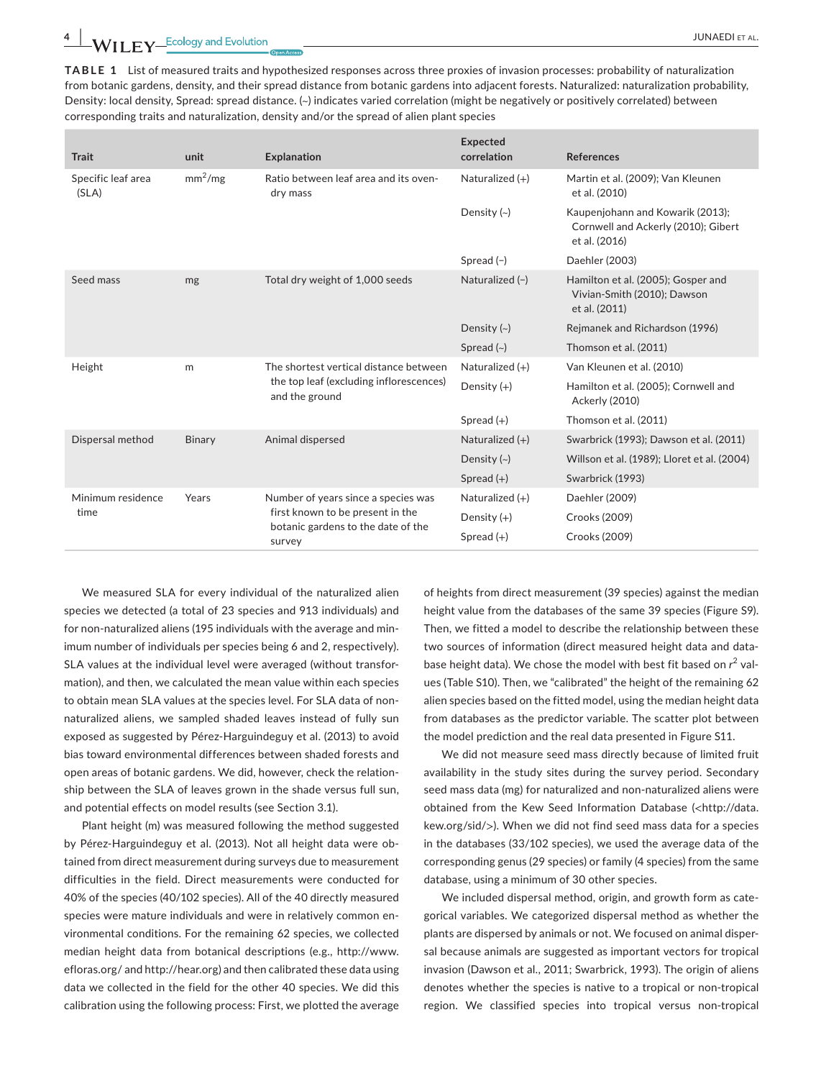**TABLE 1** List of measured traits and hypothesized responses across three proxies of invasion processes: probability of naturalization from botanic gardens, density, and their spread distance from botanic gardens into adjacent forests. Naturalized: naturalization probability, Density: local density, Spread: spread distance. (~) indicates varied correlation (might be negatively or positively correlated) between corresponding traits and naturalization, density and/or the spread of alien plant species

| <b>Trait</b>                | unit                | <b>Explanation</b>                                                                                                      | <b>Expected</b><br>correlation | <b>References</b>                                                                        |
|-----------------------------|---------------------|-------------------------------------------------------------------------------------------------------------------------|--------------------------------|------------------------------------------------------------------------------------------|
| Specific leaf area<br>(SLA) | mm <sup>2</sup> /mg | Ratio between leaf area and its oven-<br>dry mass                                                                       | Naturalized $(+)$              | Martin et al. (2009); Van Kleunen<br>et al. (2010)                                       |
|                             |                     |                                                                                                                         | Density $(\sim)$               | Kaupenjohann and Kowarik (2013);<br>Cornwell and Ackerly (2010); Gibert<br>et al. (2016) |
|                             |                     |                                                                                                                         | Spread $(-)$                   | Daehler (2003)                                                                           |
| Seed mass                   | mg                  | Total dry weight of 1,000 seeds                                                                                         | Naturalized (-)                | Hamilton et al. (2005); Gosper and<br>Vivian-Smith (2010); Dawson<br>et al. (2011)       |
|                             |                     |                                                                                                                         | Density $(\sim)$               | Rejmanek and Richardson (1996)                                                           |
|                             |                     |                                                                                                                         | Spread $(\sim)$                | Thomson et al. (2011)                                                                    |
| Height                      | m                   | The shortest vertical distance between<br>the top leaf (excluding inflorescences)<br>and the ground                     | Naturalized $(+)$              | Van Kleunen et al. (2010)                                                                |
|                             |                     |                                                                                                                         | Density (+)                    | Hamilton et al. (2005); Cornwell and<br><b>Ackerly (2010)</b>                            |
|                             |                     |                                                                                                                         | Spread $(+)$                   | Thomson et al. (2011)                                                                    |
| Dispersal method            | Binary              | Animal dispersed                                                                                                        | Naturalized $(+)$              | Swarbrick (1993); Dawson et al. (2011)                                                   |
|                             |                     |                                                                                                                         | Density $(\sim)$               | Willson et al. (1989); Lloret et al. (2004)                                              |
|                             |                     |                                                                                                                         | Spread $(+)$                   | Swarbrick (1993)                                                                         |
| Minimum residence<br>time   | Years               | Number of years since a species was<br>first known to be present in the<br>botanic gardens to the date of the<br>survey | Naturalized $(+)$              | Daehler (2009)                                                                           |
|                             |                     |                                                                                                                         | Density $(+)$                  | Crooks (2009)                                                                            |
|                             |                     |                                                                                                                         | Spread $(+)$                   | Crooks (2009)                                                                            |

We measured SLA for every individual of the naturalized alien species we detected (a total of 23 species and 913 individuals) and for non-naturalized aliens (195 individuals with the average and minimum number of individuals per species being 6 and 2, respectively). SLA values at the individual level were averaged (without transformation), and then, we calculated the mean value within each species to obtain mean SLA values at the species level. For SLA data of nonnaturalized aliens, we sampled shaded leaves instead of fully sun exposed as suggested by Pérez-Harguindeguy et al. (2013) to avoid bias toward environmental differences between shaded forests and open areas of botanic gardens. We did, however, check the relationship between the SLA of leaves grown in the shade versus full sun, and potential effects on model results (see Section 3.1).

Plant height (m) was measured following the method suggested by Pérez-Harguindeguy et al. (2013). Not all height data were obtained from direct measurement during surveys due to measurement difficulties in the field. Direct measurements were conducted for 40% of the species (40/102 species). All of the 40 directly measured species were mature individuals and were in relatively common environmental conditions. For the remaining 62 species, we collected median height data from botanical descriptions (e.g., [http://www.](http://www.efloras.org/) [efloras.org/](http://www.efloras.org/) and<http://hear.org>) and then calibrated these data using data we collected in the field for the other 40 species. We did this calibration using the following process: First, we plotted the average

of heights from direct measurement (39 species) against the median height value from the databases of the same 39 species (Figure S9). Then, we fitted a model to describe the relationship between these two sources of information (direct measured height data and database height data). We chose the model with best fit based on r<sup>2</sup> values (Table S10). Then, we "calibrated" the height of the remaining 62 alien species based on the fitted model, using the median height data from databases as the predictor variable. The scatter plot between the model prediction and the real data presented in Figure S11.

We did not measure seed mass directly because of limited fruit availability in the study sites during the survey period. Secondary seed mass data (mg) for naturalized and non-naturalized aliens were obtained from the Kew Seed Information Database (<[http://data.](http://data.kew.org/sid/) [kew.org/sid/](http://data.kew.org/sid/)>). When we did not find seed mass data for a species in the databases (33/102 species), we used the average data of the corresponding genus (29 species) or family (4 species) from the same database, using a minimum of 30 other species.

We included dispersal method, origin, and growth form as categorical variables. We categorized dispersal method as whether the plants are dispersed by animals or not. We focused on animal dispersal because animals are suggested as important vectors for tropical invasion (Dawson et al., 2011; Swarbrick, 1993). The origin of aliens denotes whether the species is native to a tropical or non-tropical region. We classified species into tropical versus non-tropical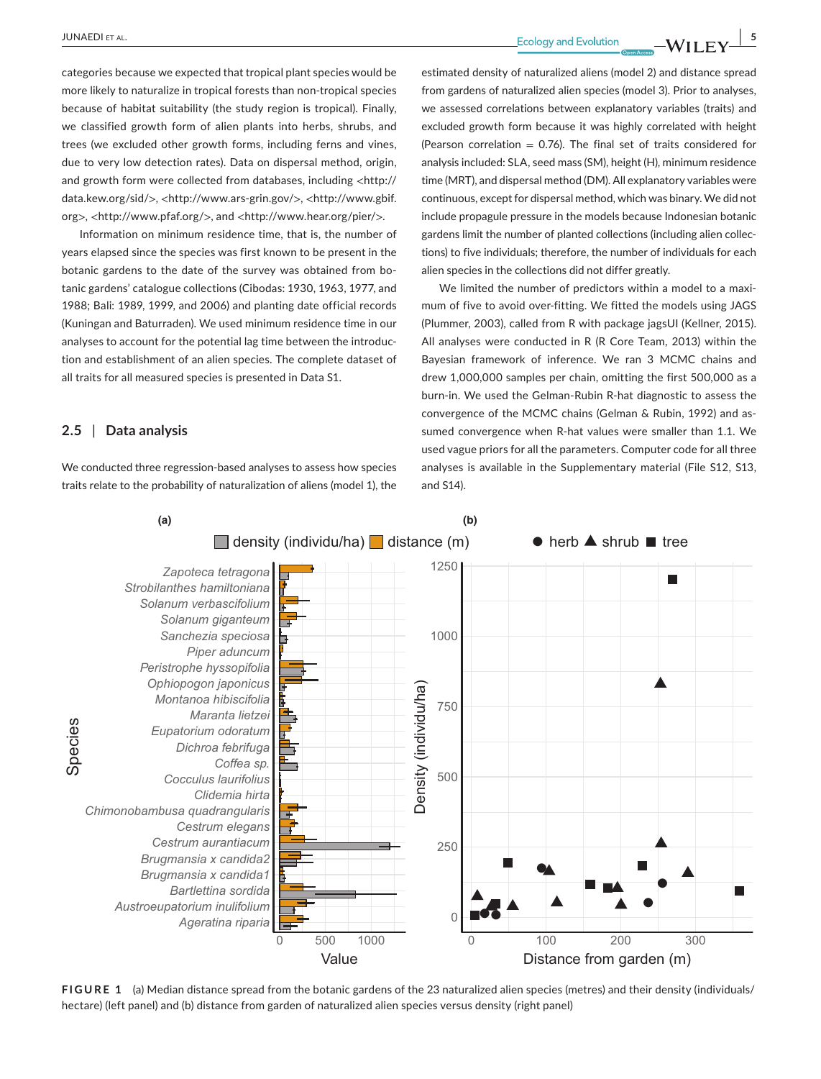categories because we expected that tropical plant species would be more likely to naturalize in tropical forests than non-tropical species because of habitat suitability (the study region is tropical). Finally, we classified growth form of alien plants into herbs, shrubs, and trees (we excluded other growth forms, including ferns and vines, due to very low detection rates). Data on dispersal method, origin, and growth form were collected from databases, including <[http://](http://data.kew.org/sid/) [data.kew.org/sid/](http://data.kew.org/sid/)>, <<http://www.ars-grin.gov/>>, <[http://www.gbif.](http://www.gbif.org) [org](http://www.gbif.org)>, <<http://www.pfaf.org/>>, and <<http://www.hear.org/pier/>>.

Information on minimum residence time, that is, the number of years elapsed since the species was first known to be present in the botanic gardens to the date of the survey was obtained from botanic gardens' catalogue collections (Cibodas: 1930, 1963, 1977, and 1988; Bali: 1989, 1999, and 2006) and planting date official records (Kuningan and Baturraden). We used minimum residence time in our analyses to account for the potential lag time between the introduction and establishment of an alien species. The complete dataset of all traits for all measured species is presented in Data S1.

## **2.5** | **Data analysis**

We conducted three regression-based analyses to assess how species traits relate to the probability of naturalization of aliens (model 1), the estimated density of naturalized aliens (model 2) and distance spread from gardens of naturalized alien species (model 3). Prior to analyses, we assessed correlations between explanatory variables (traits) and excluded growth form because it was highly correlated with height (Pearson correlation  $= 0.76$ ). The final set of traits considered for analysis included: SLA, seed mass (SM), height (H), minimum residence time (MRT), and dispersal method (DM). All explanatory variables were continuous, except for dispersal method, which was binary. We did not include propagule pressure in the models because Indonesian botanic gardens limit the number of planted collections (including alien collections) to five individuals; therefore, the number of individuals for each alien species in the collections did not differ greatly.

We limited the number of predictors within a model to a maximum of five to avoid over-fitting. We fitted the models using JAGS (Plummer, 2003), called from R with package jagsUI (Kellner, 2015). All analyses were conducted in R (R Core Team, 2013) within the Bayesian framework of inference. We ran 3 MCMC chains and drew 1,000,000 samples per chain, omitting the first 500,000 as a burn-in. We used the Gelman-Rubin R-hat diagnostic to assess the convergence of the MCMC chains (Gelman & Rubin, 1992) and assumed convergence when R-hat values were smaller than 1.1. We used vague priors for all the parameters. Computer code for all three analyses is available in the Supplementary material (File S12, S13, and S14).



**FIGURE 1** (a) Median distance spread from the botanic gardens of the 23 naturalized alien species (metres) and their density (individuals/ hectare) (left panel) and (b) distance from garden of naturalized alien species versus density (right panel)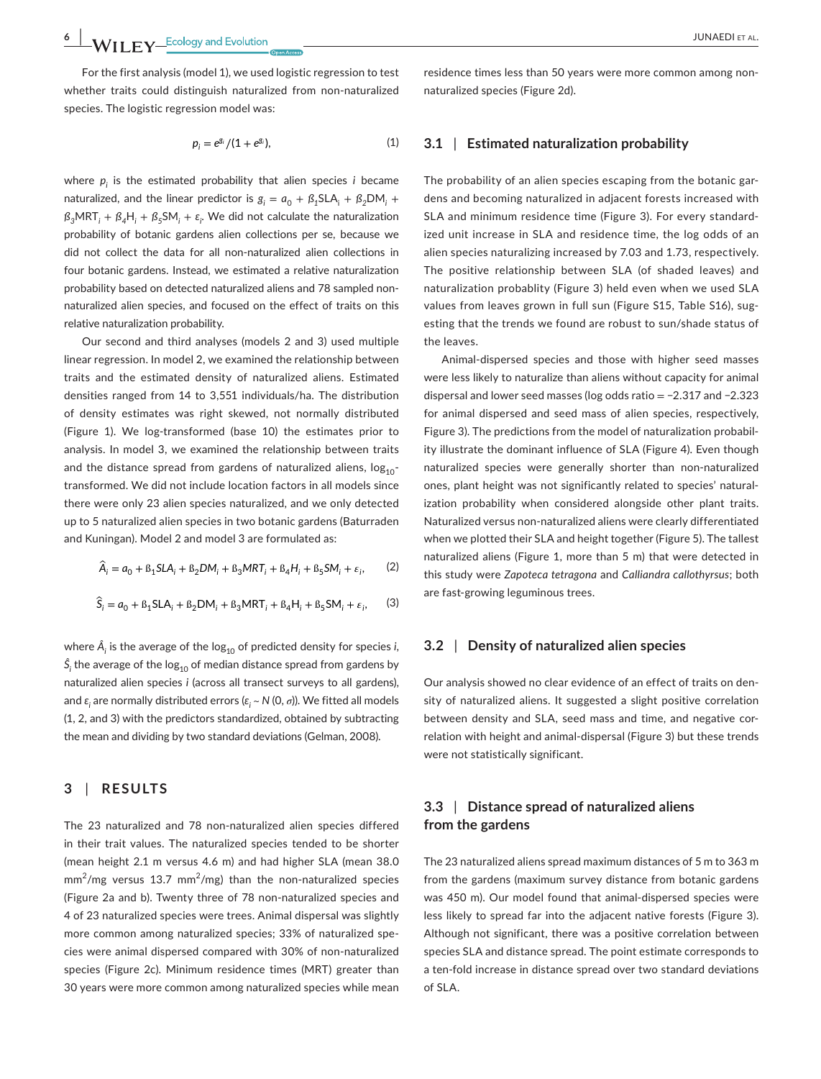For the first analysis (model 1), we used logistic regression to test whether traits could distinguish naturalized from non-naturalized species. The logistic regression model was:

$$
p_i = e^{g_i} / (1 + e^{g_i}), \tag{1}
$$

where *pi* is the estimated probability that alien species *i* became naturalized, and the linear predictor is  $g_i = a_0 + \beta_1 SLA_i + \beta_2 DM_i +$  $\beta_3$ MRT<sub>i</sub> +  $\beta_4$ H<sub>i</sub> +  $\beta_5$ SM<sub>i</sub> +  $\varepsilon_j$ . We did not calculate the naturalization probability of botanic gardens alien collections per se*,* because we did not collect the data for all non-naturalized alien collections in four botanic gardens. Instead, we estimated a relative naturalization probability based on detected naturalized aliens and 78 sampled nonnaturalized alien species, and focused on the effect of traits on this relative naturalization probability.

Our second and third analyses (models 2 and 3) used multiple linear regression. In model 2, we examined the relationship between traits and the estimated density of naturalized aliens. Estimated densities ranged from 14 to 3,551 individuals/ha. The distribution of density estimates was right skewed, not normally distributed (Figure 1). We log-transformed (base 10) the estimates prior to analysis. In model 3, we examined the relationship between traits and the distance spread from gardens of naturalized aliens,  $log_{10}$ transformed. We did not include location factors in all models since there were only 23 alien species naturalized, and we only detected up to 5 naturalized alien species in two botanic gardens (Baturraden and Kuningan). Model 2 and model 3 are formulated as:

$$
\widehat{A}_i = a_0 + B_1 SLA_i + B_2 DM_i + B_3 MRT_i + B_4 H_i + B_5 SM_i + \varepsilon_i,
$$
 (2)

$$
\hat{\mathsf{S}}_i = a_0 + \mathsf{B}_1 \mathsf{SLA}_i + \mathsf{B}_2 \mathsf{DM}_i + \mathsf{B}_3 \mathsf{MRT}_i + \mathsf{B}_4 \mathsf{H}_i + \mathsf{B}_5 \mathsf{SM}_i + \varepsilon_i,\tag{3}
$$

where  $\hat{A}_i$  is the average of the log $_{10}$  of predicted density for species  $i$ ,  $\dot{S}_{\dot{I}}$  the average of the log<sub>10</sub> of median distance spread from gardens by naturalized alien species *i* (across all transect surveys to all gardens), and *ɛ<sup>i</sup>* are normally distributed errors (*ɛ<sup>i</sup>* ~ *N* (0, *σ*)). We fitted all models (1, 2, and 3) with the predictors standardized, obtained by subtracting the mean and dividing by two standard deviations (Gelman, 2008).

# **3** | **RESULTS**

The 23 naturalized and 78 non-naturalized alien species differed in their trait values. The naturalized species tended to be shorter (mean height 2.1 m versus 4.6 m) and had higher SLA (mean 38.0  $mm<sup>2</sup>/mg$  versus 13.7 mm<sup>2</sup>/mg) than the non-naturalized species (Figure 2a and b). Twenty three of 78 non-naturalized species and 4 of 23 naturalized species were trees. Animal dispersal was slightly more common among naturalized species; 33% of naturalized species were animal dispersed compared with 30% of non-naturalized species (Figure 2c). Minimum residence times (MRT) greater than 30 years were more common among naturalized species while mean

residence times less than 50 years were more common among nonnaturalized species (Figure 2d).

## **3.1** | **Estimated naturalization probability**

The probability of an alien species escaping from the botanic gardens and becoming naturalized in adjacent forests increased with SLA and minimum residence time (Figure 3). For every standardized unit increase in SLA and residence time, the log odds of an alien species naturalizing increased by 7.03 and 1.73, respectively. The positive relationship between SLA (of shaded leaves) and naturalization probablity (Figure 3) held even when we used SLA values from leaves grown in full sun (Figure S15, Table S16), sugesting that the trends we found are robust to sun/shade status of the leaves.

Animal-dispersed species and those with higher seed masses were less likely to naturalize than aliens without capacity for animal dispersal and lower seed masses (log odds ratio = −2.317 and −2.323 for animal dispersed and seed mass of alien species, respectively, Figure 3). The predictions from the model of naturalization probability illustrate the dominant influence of SLA (Figure 4). Even though naturalized species were generally shorter than non-naturalized ones, plant height was not significantly related to species' naturalization probability when considered alongside other plant traits. Naturalized versus non-naturalized aliens were clearly differentiated when we plotted their SLA and height together (Figure 5). The tallest naturalized aliens (Figure 1, more than 5 m) that were detected in this study were *Zapoteca tetragona* and *Calliandra callothyrsus*; both are fast-growing leguminous trees.

#### **3.2** | **Density of naturalized alien species**

Our analysis showed no clear evidence of an effect of traits on density of naturalized aliens. It suggested a slight positive correlation between density and SLA, seed mass and time, and negative correlation with height and animal-dispersal (Figure 3) but these trends were not statistically significant.

## **3.3** | **Distance spread of naturalized aliens from the gardens**

The 23 naturalized aliens spread maximum distances of 5 m to 363 m from the gardens (maximum survey distance from botanic gardens was 450 m). Our model found that animal-dispersed species were less likely to spread far into the adjacent native forests (Figure 3). Although not significant, there was a positive correlation between species SLA and distance spread. The point estimate corresponds to a ten-fold increase in distance spread over two standard deviations of SLA.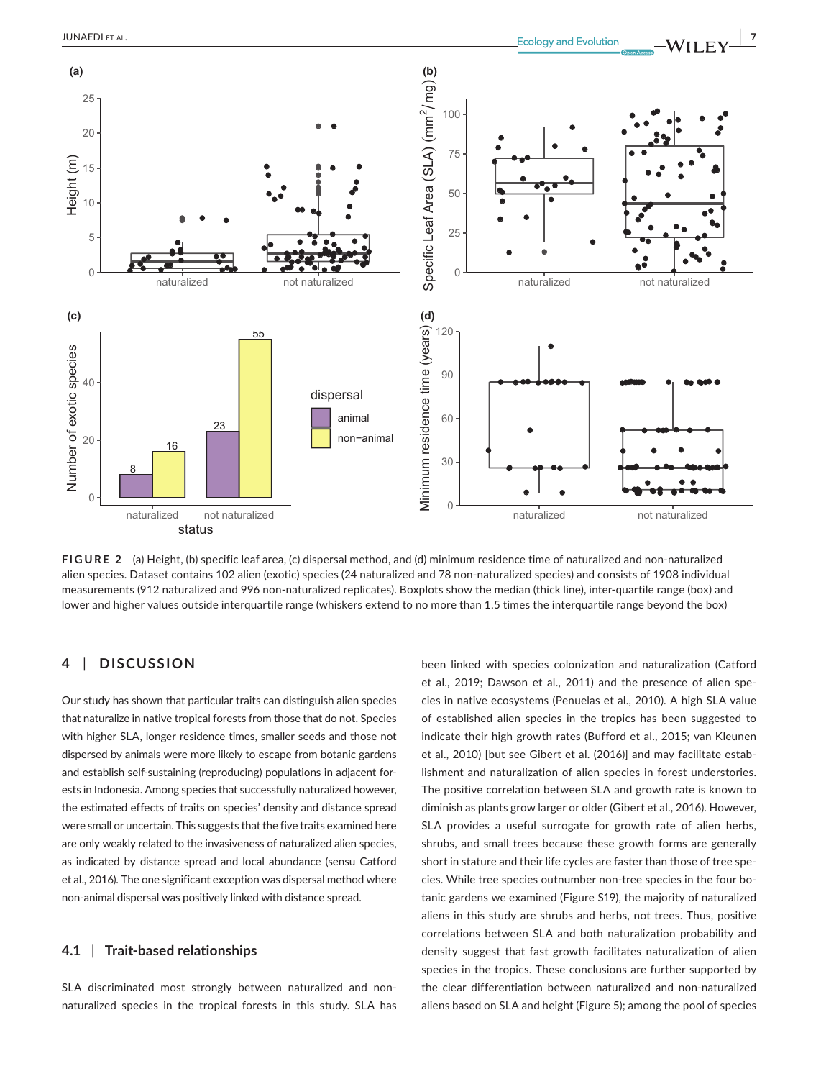

**FIGURE 2** (a) Height, (b) specific leaf area, (c) dispersal method, and (d) minimum residence time of naturalized and non-naturalized alien species. Dataset contains 102 alien (exotic) species (24 naturalized and 78 non-naturalized species) and consists of 1908 individual measurements (912 naturalized and 996 non-naturalized replicates). Boxplots show the median (thick line), inter-quartile range (box) and lower and higher values outside interquartile range (whiskers extend to no more than 1.5 times the interquartile range beyond the box)

# **4** | **DISCUSSION**

Our study has shown that particular traits can distinguish alien species that naturalize in native tropical forests from those that do not. Species with higher SLA, longer residence times, smaller seeds and those not dispersed by animals were more likely to escape from botanic gardens and establish self-sustaining (reproducing) populations in adjacent forests in Indonesia. Among species that successfully naturalized however, the estimated effects of traits on species' density and distance spread were small or uncertain. This suggests that the five traits examined here are only weakly related to the invasiveness of naturalized alien species, as indicated by distance spread and local abundance (sensu Catford et al., 2016). The one significant exception was dispersal method where non-animal dispersal was positively linked with distance spread.

## **4.1** | **Trait-based relationships**

SLA discriminated most strongly between naturalized and nonnaturalized species in the tropical forests in this study. SLA has been linked with species colonization and naturalization (Catford et al., 2019; Dawson et al., 2011) and the presence of alien species in native ecosystems (Penuelas et al., 2010). A high SLA value of established alien species in the tropics has been suggested to indicate their high growth rates (Bufford et al., 2015; van Kleunen et al., 2010) [but see Gibert et al. (2016)] and may facilitate establishment and naturalization of alien species in forest understories. The positive correlation between SLA and growth rate is known to diminish as plants grow larger or older (Gibert et al., 2016). However, SLA provides a useful surrogate for growth rate of alien herbs, shrubs, and small trees because these growth forms are generally short in stature and their life cycles are faster than those of tree species. While tree species outnumber non-tree species in the four botanic gardens we examined (Figure S19), the majority of naturalized aliens in this study are shrubs and herbs, not trees. Thus, positive correlations between SLA and both naturalization probability and density suggest that fast growth facilitates naturalization of alien species in the tropics. These conclusions are further supported by the clear differentiation between naturalized and non-naturalized aliens based on SLA and height (Figure 5); among the pool of species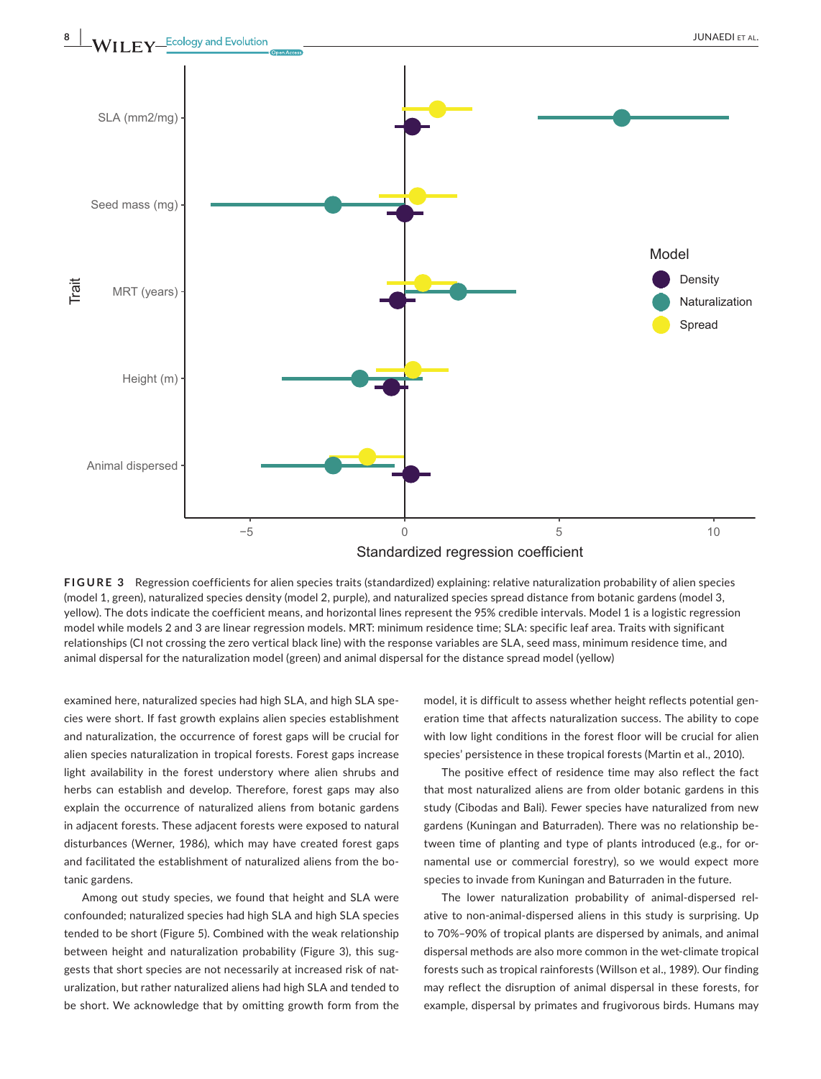

**FIGURE 3** Regression coefficients for alien species traits (standardized) explaining: relative naturalization probability of alien species (model 1, green), naturalized species density (model 2, purple), and naturalized species spread distance from botanic gardens (model 3, yellow). The dots indicate the coefficient means, and horizontal lines represent the 95% credible intervals. Model 1 is a logistic regression model while models 2 and 3 are linear regression models. MRT: minimum residence time; SLA: specific leaf area. Traits with significant relationships (CI not crossing the zero vertical black line) with the response variables are SLA, seed mass, minimum residence time, and animal dispersal for the naturalization model (green) and animal dispersal for the distance spread model (yellow)

examined here, naturalized species had high SLA, and high SLA species were short. If fast growth explains alien species establishment and naturalization, the occurrence of forest gaps will be crucial for alien species naturalization in tropical forests. Forest gaps increase light availability in the forest understory where alien shrubs and herbs can establish and develop. Therefore, forest gaps may also explain the occurrence of naturalized aliens from botanic gardens in adjacent forests. These adjacent forests were exposed to natural disturbances (Werner, 1986), which may have created forest gaps and facilitated the establishment of naturalized aliens from the botanic gardens.

Among out study species, we found that height and SLA were confounded; naturalized species had high SLA and high SLA species tended to be short (Figure 5). Combined with the weak relationship between height and naturalization probability (Figure 3), this suggests that short species are not necessarily at increased risk of naturalization, but rather naturalized aliens had high SLA and tended to be short. We acknowledge that by omitting growth form from the

model, it is difficult to assess whether height reflects potential generation time that affects naturalization success. The ability to cope with low light conditions in the forest floor will be crucial for alien species' persistence in these tropical forests (Martin et al., 2010).

The positive effect of residence time may also reflect the fact that most naturalized aliens are from older botanic gardens in this study (Cibodas and Bali). Fewer species have naturalized from new gardens (Kuningan and Baturraden). There was no relationship between time of planting and type of plants introduced (e.g., for ornamental use or commercial forestry), so we would expect more species to invade from Kuningan and Baturraden in the future.

The lower naturalization probability of animal-dispersed relative to non-animal-dispersed aliens in this study is surprising. Up to 70%–90% of tropical plants are dispersed by animals, and animal dispersal methods are also more common in the wet-climate tropical forests such as tropical rainforests (Willson et al., 1989). Our finding may reflect the disruption of animal dispersal in these forests, for example, dispersal by primates and frugivorous birds. Humans may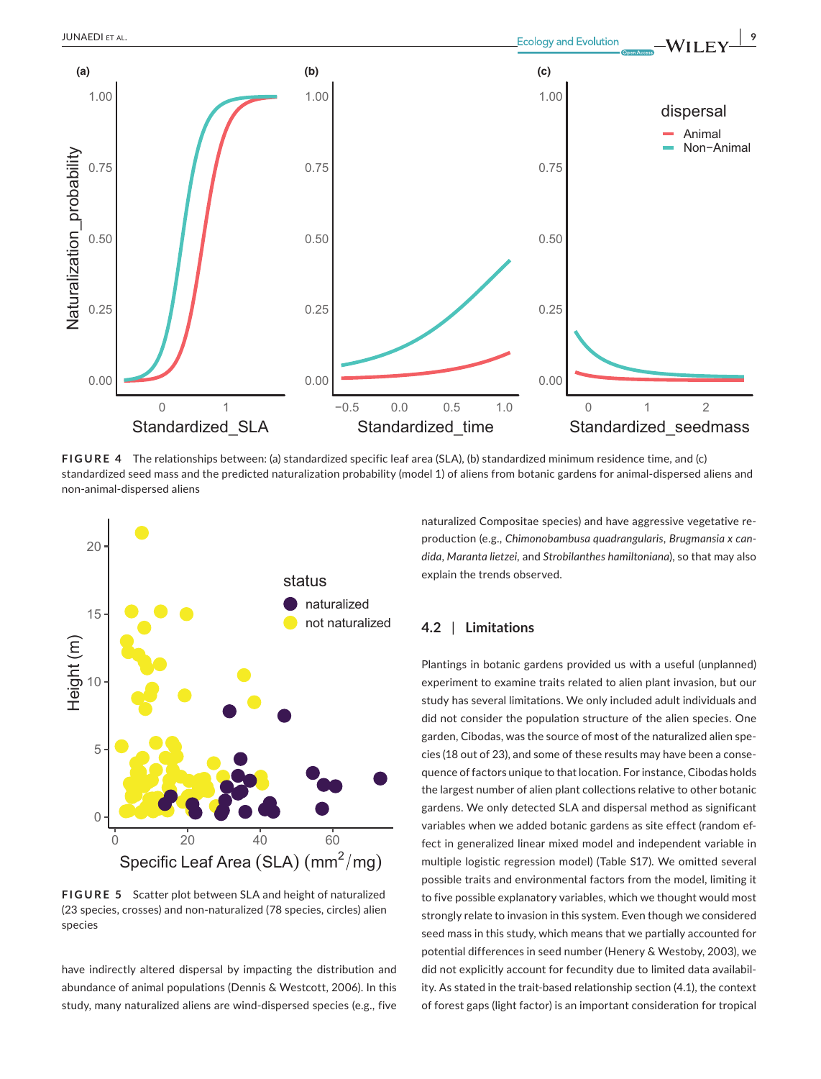

**FIGURE 4** The relationships between: (a) standardized specific leaf area (SLA), (b) standardized minimum residence time, and (c) standardized seed mass and the predicted naturalization probability (model 1) of aliens from botanic gardens for animal-dispersed aliens and non-animal-dispersed aliens



**FIGURE 5** Scatter plot between SLA and height of naturalized (23 species, crosses) and non-naturalized (78 species, circles) alien species

have indirectly altered dispersal by impacting the distribution and abundance of animal populations (Dennis & Westcott, 2006). In this study, many naturalized aliens are wind-dispersed species (e.g., five naturalized Compositae species) and have aggressive vegetative reproduction (e.g., *Chimonobambusa quadrangularis*, *Brugmansia x candida*, *Maranta lietzei,* and *Strobilanthes hamiltoniana*), so that may also explain the trends observed.

## **4.2** | **Limitations**

Plantings in botanic gardens provided us with a useful (unplanned) experiment to examine traits related to alien plant invasion, but our study has several limitations. We only included adult individuals and did not consider the population structure of the alien species. One garden, Cibodas, was the source of most of the naturalized alien species (18 out of 23), and some of these results may have been a consequence of factors unique to that location. For instance, Cibodas holds the largest number of alien plant collections relative to other botanic gardens. We only detected SLA and dispersal method as significant variables when we added botanic gardens as site effect (random effect in generalized linear mixed model and independent variable in multiple logistic regression model) (Table S17). We omitted several possible traits and environmental factors from the model, limiting it to five possible explanatory variables, which we thought would most strongly relate to invasion in this system. Even though we considered seed mass in this study, which means that we partially accounted for potential differences in seed number (Henery & Westoby, 2003), we did not explicitly account for fecundity due to limited data availability. As stated in the trait-based relationship section (4.1), the context of forest gaps (light factor) is an important consideration for tropical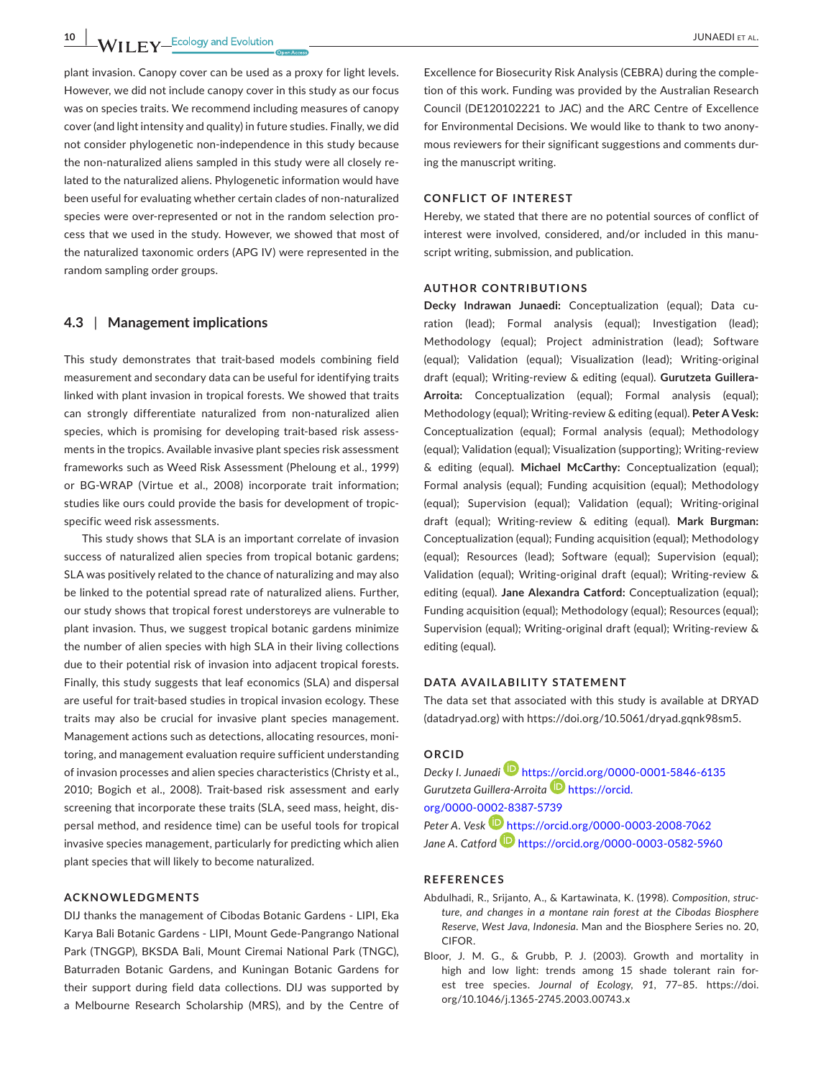**10 |**  JUNAEDI et al.

plant invasion. Canopy cover can be used as a proxy for light levels. However, we did not include canopy cover in this study as our focus was on species traits. We recommend including measures of canopy cover (and light intensity and quality) in future studies. Finally, we did not consider phylogenetic non-independence in this study because the non-naturalized aliens sampled in this study were all closely related to the naturalized aliens. Phylogenetic information would have been useful for evaluating whether certain clades of non-naturalized species were over-represented or not in the random selection process that we used in the study. However, we showed that most of the naturalized taxonomic orders (APG IV) were represented in the random sampling order groups.

## **4.3** | **Management implications**

This study demonstrates that trait-based models combining field measurement and secondary data can be useful for identifying traits linked with plant invasion in tropical forests. We showed that traits can strongly differentiate naturalized from non-naturalized alien species, which is promising for developing trait-based risk assessments in the tropics. Available invasive plant species risk assessment frameworks such as Weed Risk Assessment (Pheloung et al., 1999) or BG-WRAP (Virtue et al., 2008) incorporate trait information; studies like ours could provide the basis for development of tropicspecific weed risk assessments.

This study shows that SLA is an important correlate of invasion success of naturalized alien species from tropical botanic gardens; SLA was positively related to the chance of naturalizing and may also be linked to the potential spread rate of naturalized aliens. Further, our study shows that tropical forest understoreys are vulnerable to plant invasion. Thus, we suggest tropical botanic gardens minimize the number of alien species with high SLA in their living collections due to their potential risk of invasion into adjacent tropical forests. Finally, this study suggests that leaf economics (SLA) and dispersal are useful for trait-based studies in tropical invasion ecology. These traits may also be crucial for invasive plant species management. Management actions such as detections, allocating resources, monitoring, and management evaluation require sufficient understanding of invasion processes and alien species characteristics (Christy et al., 2010; Bogich et al., 2008). Trait-based risk assessment and early screening that incorporate these traits (SLA, seed mass, height, dispersal method, and residence time) can be useful tools for tropical invasive species management, particularly for predicting which alien plant species that will likely to become naturalized.

#### **ACKNOWLEDGMENTS**

DIJ thanks the management of Cibodas Botanic Gardens - LIPI, Eka Karya Bali Botanic Gardens - LIPI, Mount Gede-Pangrango National Park (TNGGP), BKSDA Bali, Mount Ciremai National Park (TNGC), Baturraden Botanic Gardens, and Kuningan Botanic Gardens for their support during field data collections. DIJ was supported by a Melbourne Research Scholarship (MRS), and by the Centre of

Excellence for Biosecurity Risk Analysis (CEBRA) during the completion of this work. Funding was provided by the Australian Research Council (DE120102221 to JAC) and the ARC Centre of Excellence for Environmental Decisions. We would like to thank to two anonymous reviewers for their significant suggestions and comments during the manuscript writing.

#### **CONFLICT OF INTEREST**

Hereby, we stated that there are no potential sources of conflict of interest were involved, considered, and/or included in this manuscript writing, submission, and publication.

#### **AUTHOR CONTRIBUTIONS**

**Decky Indrawan Junaedi:** Conceptualization (equal); Data curation (lead); Formal analysis (equal); Investigation (lead); Methodology (equal); Project administration (lead); Software (equal); Validation (equal); Visualization (lead); Writing-original draft (equal); Writing-review & editing (equal). **Gurutzeta Guillera-Arroita:** Conceptualization (equal); Formal analysis (equal); Methodology (equal); Writing-review & editing (equal). **Peter A Vesk:** Conceptualization (equal); Formal analysis (equal); Methodology (equal); Validation (equal); Visualization (supporting); Writing-review & editing (equal). **Michael McCarthy:** Conceptualization (equal); Formal analysis (equal); Funding acquisition (equal); Methodology (equal); Supervision (equal); Validation (equal); Writing-original draft (equal); Writing-review & editing (equal). **Mark Burgman:** Conceptualization (equal); Funding acquisition (equal); Methodology (equal); Resources (lead); Software (equal); Supervision (equal); Validation (equal); Writing-original draft (equal); Writing-review & editing (equal). **Jane Alexandra Catford:** Conceptualization (equal); Funding acquisition (equal); Methodology (equal); Resources (equal); Supervision (equal); Writing-original draft (equal); Writing-review & editing (equal).

#### **DATA AVAILABILITY STATEMENT**

The data set that associated with this study is available at DRYAD (datadryad.org) with [https://doi.org/10.5061/dryad.gqnk98sm5.](https://doi.org/10.5061/dryad.gqnk98sm5)

#### **ORCID**

*Decky I. Junaed[i](https://orcid.org/0000-0001-5846-6135)* <https://orcid.org/0000-0001-5846-6135> *Gurutzeta Guillera-Arroita* [https://orcid.](https://orcid.org/0000-0002-8387-5739) [org/0000-0002-8387-5739](https://orcid.org/0000-0002-8387-5739) Peter A. Vesk **b** <https://orcid.org/0000-0003-2008-7062>

*Jane A. Catford* <https://orcid.org/0000-0003-0582-5960>

## **REFERENCES**

- Abdulhadi, R., Srijanto, A., & Kartawinata, K. (1998). *Composition, structure, and changes in a montane rain forest at the Cibodas Biosphere Reserve, West Java, Indonesia*. Man and the Biosphere Series no. 20, CIFOR.
- Bloor, J. M. G., & Grubb, P. J. (2003). Growth and mortality in high and low light: trends among 15 shade tolerant rain forest tree species. *Journal of Ecology*, *91*, 77–85. [https://doi.](https://doi.org/10.1046/j.1365-2745.2003.00743.x) [org/10.1046/j.1365-2745.2003.00743.x](https://doi.org/10.1046/j.1365-2745.2003.00743.x)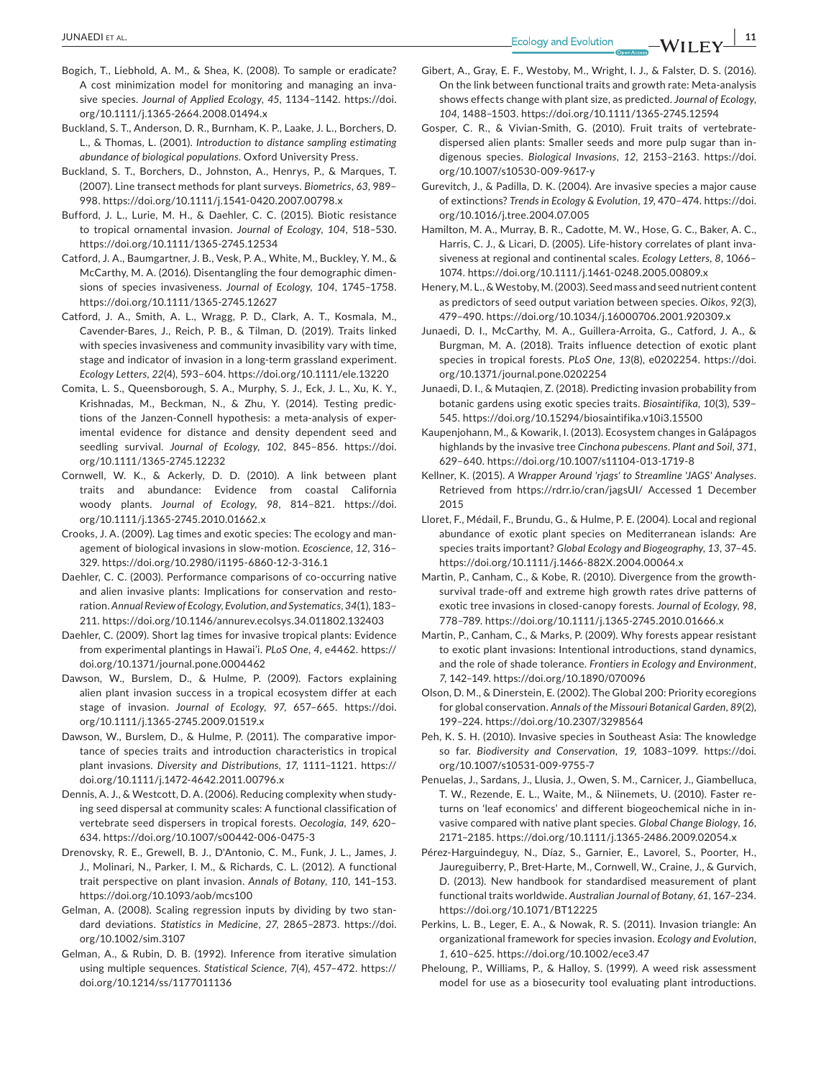- Bogich, T., Liebhold, A. M., & Shea, K. (2008). To sample or eradicate? A cost minimization model for monitoring and managing an invasive species. *Journal of Applied Ecology*, *45*, 1134–1142. [https://doi.](https://doi.org/10.1111/j.1365-2664.2008.01494.x) [org/10.1111/j.1365-2664.2008.01494.x](https://doi.org/10.1111/j.1365-2664.2008.01494.x)
- Buckland, S. T., Anderson, D. R., Burnham, K. P., Laake, J. L., Borchers, D. L., & Thomas, L. (2001). *Introduction to distance sampling estimating abundance of biological populations*. Oxford University Press.
- Buckland, S. T., Borchers, D., Johnston, A., Henrys, P., & Marques, T. (2007). Line transect methods for plant surveys. *Biometrics*, *63*, 989– 998. <https://doi.org/10.1111/j.1541-0420.2007.00798.x>
- Bufford, J. L., Lurie, M. H., & Daehler, C. C. (2015). Biotic resistance to tropical ornamental invasion. *Journal of Ecology*, *104*, 518–530. <https://doi.org/10.1111/1365-2745.12534>
- Catford, J. A., Baumgartner, J. B., Vesk, P. A., White, M., Buckley, Y. M., & McCarthy, M. A. (2016). Disentangling the four demographic dimensions of species invasiveness. *Journal of Ecology*, *104*, 1745–1758. <https://doi.org/10.1111/1365-2745.12627>
- Catford, J. A., Smith, A. L., Wragg, P. D., Clark, A. T., Kosmala, M., Cavender-Bares, J., Reich, P. B., & Tilman, D. (2019). Traits linked with species invasiveness and community invasibility vary with time, stage and indicator of invasion in a long-term grassland experiment. *Ecology Letters*, *22*(4), 593–604. <https://doi.org/10.1111/ele.13220>
- Comita, L. S., Queensborough, S. A., Murphy, S. J., Eck, J. L., Xu, K. Y., Krishnadas, M., Beckman, N., & Zhu, Y. (2014). Testing predictions of the Janzen-Connell hypothesis: a meta-analysis of experimental evidence for distance and density dependent seed and seedling survival. *Journal of Ecology*, *102*, 845–856. [https://doi.](https://doi.org/10.1111/1365-2745.12232) [org/10.1111/1365-2745.12232](https://doi.org/10.1111/1365-2745.12232)
- Cornwell, W. K., & Ackerly, D. D. (2010). A link between plant traits and abundance: Evidence from coastal California woody plants. *Journal of Ecology*, *98*, 814–821. [https://doi.](https://doi.org/10.1111/j.1365-2745.2010.01662.x) [org/10.1111/j.1365-2745.2010.01662.x](https://doi.org/10.1111/j.1365-2745.2010.01662.x)
- Crooks, J. A. (2009). Lag times and exotic species: The ecology and management of biological invasions in slow-motion. *Ecoscience*, *12*, 316– 329.<https://doi.org/10.2980/i1195-6860-12-3-316.1>
- Daehler, C. C. (2003). Performance comparisons of co-occurring native and alien invasive plants: Implications for conservation and restoration. *Annual Review of Ecology, Evolution, and Systematics*, *34*(1), 183– 211.<https://doi.org/10.1146/annurev.ecolsys.34.011802.132403>
- Daehler, C. (2009). Short lag times for invasive tropical plants: Evidence from experimental plantings in Hawai'i. *PLoS One*, *4*, e4462. [https://](https://doi.org/10.1371/journal.pone.0004462) [doi.org/10.1371/journal.pone.0004462](https://doi.org/10.1371/journal.pone.0004462)
- Dawson, W., Burslem, D., & Hulme, P. (2009). Factors explaining alien plant invasion success in a tropical ecosystem differ at each stage of invasion. *Journal of Ecology*, *97*, 657–665. [https://doi.](https://doi.org/10.1111/j.1365-2745.2009.01519.x) [org/10.1111/j.1365-2745.2009.01519.x](https://doi.org/10.1111/j.1365-2745.2009.01519.x)
- Dawson, W., Burslem, D., & Hulme, P. (2011). The comparative importance of species traits and introduction characteristics in tropical plant invasions. *Diversity and Distributions*, *17*, 1111–1121. [https://](https://doi.org/10.1111/j.1472-4642.2011.00796.x) [doi.org/10.1111/j.1472-4642.2011.00796.x](https://doi.org/10.1111/j.1472-4642.2011.00796.x)
- Dennis, A. J., & Westcott, D. A. (2006). Reducing complexity when studying seed dispersal at community scales: A functional classification of vertebrate seed dispersers in tropical forests. *Oecologia*, *149*, 620– 634.<https://doi.org/10.1007/s00442-006-0475-3>
- Drenovsky, R. E., Grewell, B. J., D'Antonio, C. M., Funk, J. L., James, J. J., Molinari, N., Parker, I. M., & Richards, C. L. (2012). A functional trait perspective on plant invasion. *Annals of Botany*, *110*, 141–153. <https://doi.org/10.1093/aob/mcs100>
- Gelman, A. (2008). Scaling regression inputs by dividing by two standard deviations. *Statistics in Medicine*, *27*, 2865–2873. [https://doi.](https://doi.org/10.1002/sim.3107) [org/10.1002/sim.3107](https://doi.org/10.1002/sim.3107)
- Gelman, A., & Rubin, D. B. (1992). Inference from iterative simulation using multiple sequences. *Statistical Science*, *7*(4), 457–472. [https://](https://doi.org/10.1214/ss/1177011136) [doi.org/10.1214/ss/1177011136](https://doi.org/10.1214/ss/1177011136)
- Gibert, A., Gray, E. F., Westoby, M., Wright, I. J., & Falster, D. S. (2016). On the link between functional traits and growth rate: Meta-analysis shows effects change with plant size, as predicted. *Journal of Ecology*, *104*, 1488–1503.<https://doi.org/10.1111/1365-2745.12594>
- Gosper, C. R., & Vivian-Smith, G. (2010). Fruit traits of vertebratedispersed alien plants: Smaller seeds and more pulp sugar than indigenous species. *Biological Invasions*, *12*, 2153–2163. [https://doi.](https://doi.org/10.1007/s10530-009-9617-y) [org/10.1007/s10530-009-9617-y](https://doi.org/10.1007/s10530-009-9617-y)
- Gurevitch, J., & Padilla, D. K. (2004). Are invasive species a major cause of extinctions? *Trends in Ecology & Evolution*, *19*, 470–474. [https://doi.](https://doi.org/10.1016/j.tree.2004.07.005) [org/10.1016/j.tree.2004.07.005](https://doi.org/10.1016/j.tree.2004.07.005)
- Hamilton, M. A., Murray, B. R., Cadotte, M. W., Hose, G. C., Baker, A. C., Harris, C. J., & Licari, D. (2005). Life-history correlates of plant invasiveness at regional and continental scales. *Ecology Letters*, *8*, 1066– 1074.<https://doi.org/10.1111/j.1461-0248.2005.00809.x>
- Henery, M. L., & Westoby, M. (2003). Seed mass and seed nutrient content as predictors of seed output variation between species. *Oikos*, *92*(3), 479–490. <https://doi.org/10.1034/j.16000706.2001.920309.x>
- Junaedi, D. I., McCarthy, M. A., Guillera-Arroita, G., Catford, J. A., & Burgman, M. A. (2018). Traits influence detection of exotic plant species in tropical forests. *PLoS One*, *13*(8), e0202254. [https://doi.](https://doi.org/10.1371/journal.pone.0202254) [org/10.1371/journal.pone.0202254](https://doi.org/10.1371/journal.pone.0202254)
- Junaedi, D. I., & Mutaqien, Z. (2018). Predicting invasion probability from botanic gardens using exotic species traits. *Biosaintifika*, *10*(3), 539– 545. <https://doi.org/10.15294/biosaintifika.v10i3.15500>
- Kaupenjohann, M., & Kowarik, I. (2013). Ecosystem changes in Galápagos highlands by the invasive tree *Cinchona pubescens*. *Plant and Soil*, *371*, 629–640. <https://doi.org/10.1007/s11104-013-1719-8>
- Kellner, K. (2015). *A Wrapper Around 'rjags' to Streamline 'JAGS' Analyses*. Retrieved from <https://rdrr.io/cran/jagsUI/>Accessed 1 December 2015
- Lloret, F., Médail, F., Brundu, G., & Hulme, P. E. (2004). Local and regional abundance of exotic plant species on Mediterranean islands: Are species traits important? *Global Ecology and Biogeography*, *13*, 37–45. <https://doi.org/10.1111/j.1466-882X.2004.00064.x>
- Martin, P., Canham, C., & Kobe, R. (2010). Divergence from the growthsurvival trade-off and extreme high growth rates drive patterns of exotic tree invasions in closed-canopy forests. *Journal of Ecology*, *98*, 778–789.<https://doi.org/10.1111/j.1365-2745.2010.01666.x>
- Martin, P., Canham, C., & Marks, P. (2009). Why forests appear resistant to exotic plant invasions: Intentional introductions, stand dynamics, and the role of shade tolerance. *Frontiers in Ecology and Environment*, *7*, 142–149.<https://doi.org/10.1890/070096>
- Olson, D. M., & Dinerstein, E. (2002). The Global 200: Priority ecoregions for global conservation. *Annals of the Missouri Botanical Garden*, *89*(2), 199–224.<https://doi.org/10.2307/3298564>
- Peh, K. S. H. (2010). Invasive species in Southeast Asia: The knowledge so far. *Biodiversity and Conservation*, *19*, 1083–1099. [https://doi.](https://doi.org/10.1007/s10531-009-9755-7) [org/10.1007/s10531-009-9755-7](https://doi.org/10.1007/s10531-009-9755-7)
- Penuelas, J., Sardans, J., Llusia, J., Owen, S. M., Carnicer, J., Giambelluca, T. W., Rezende, E. L., Waite, M., & Niinemets, U. (2010). Faster returns on 'leaf economics' and different biogeochemical niche in invasive compared with native plant species. *Global Change Biology*, *16*, 2171–2185.<https://doi.org/10.1111/j.1365-2486.2009.02054.x>
- Pérez-Harguindeguy, N., Díaz, S., Garnier, E., Lavorel, S., Poorter, H., Jaureguiberry, P., Bret-Harte, M., Cornwell, W., Craine, J., & Gurvich, D. (2013). New handbook for standardised measurement of plant functional traits worldwide. *Australian Journal of Botany*, *61*, 167–234. <https://doi.org/10.1071/BT12225>
- Perkins, L. B., Leger, E. A., & Nowak, R. S. (2011). Invasion triangle: An organizational framework for species invasion. *Ecology and Evolution*, *1*, 610–625. <https://doi.org/10.1002/ece3.47>
- Pheloung, P., Williams, P., & Halloy, S. (1999). A weed risk assessment model for use as a biosecurity tool evaluating plant introductions.